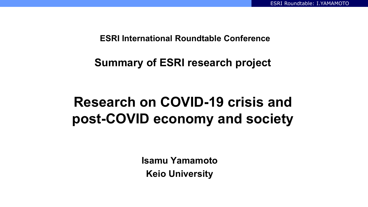**ESRI International Roundtable Conference**

**Summary of ESRI research project**

# **Research on COVID-19 crisis and post-COVID economy and society**

**Isamu Yamamoto Keio University**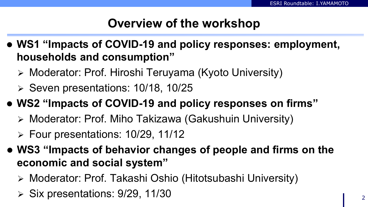### **Overview of the workshop**

- **WS1 "Impacts of COVID-19 and policy responses: employment, households and consumption"**
	- Moderator: Prof. Hiroshi Teruyama (Kyoto University)
	- $\triangleright$  Seven presentations: 10/18, 10/25
- **WS2 "Impacts of COVID-19 and policy responses on firms"**
	- Moderator: Prof. Miho Takizawa (Gakushuin University)
	- $\triangleright$  Four presentations: 10/29, 11/12
- **WS3 "Impacts of behavior changes of people and firms on the economic and social system"**
	- Moderator: Prof. Takashi Oshio (Hitotsubashi University)
	- $\triangleright$  Six presentations: 9/29, 11/30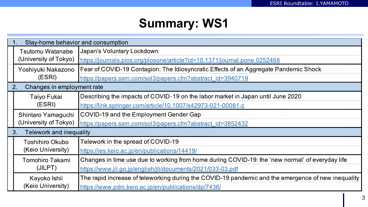## **Summary: WS1**

|                                      | Stay-home behavior and consumption               |                                                                                                    |  |  |
|--------------------------------------|--------------------------------------------------|----------------------------------------------------------------------------------------------------|--|--|
|                                      | <b>Tsutomu Watanabe</b><br>(University of Tokyo) | Japan's Voluntary Lockdown                                                                         |  |  |
|                                      |                                                  | https://journals.plos.org/plosone/article?id=10.1371/journal.pone.0252468                          |  |  |
|                                      | Yoshiyuki Nakazono<br>(ESRI)                     | Fear of COVID-19 Contagion: The Idiosyncratic Effects of an Aggregate Pandemic Shock               |  |  |
|                                      |                                                  | https://papers.ssrn.com/sol3/papers.cfm?abstract_id=3940719                                        |  |  |
| Changes in employment rate<br>2.     |                                                  |                                                                                                    |  |  |
|                                      | Taiyo Fukai<br>(ESRI)                            | Describing the impacts of COVID-19 on the labor market in Japan until June 2020                    |  |  |
|                                      |                                                  | https://link.springer.com/article/10.1007/s42973-021-00081-z                                       |  |  |
|                                      | Shintaro Yamaguchi<br>(University of Tokyo)      | COVID-19 and the Employment Gender Gap                                                             |  |  |
|                                      |                                                  | https://papers.ssrn.com/sol3/papers.cfm?abstract_id=3852432                                        |  |  |
| <b>Telework and inequality</b><br>3. |                                                  |                                                                                                    |  |  |
|                                      | <b>Toshihiro Okubo</b><br>(Keio University)      | Telework in the spread of COVID-19                                                                 |  |  |
|                                      |                                                  | https://ies.keio.ac.jp/en/publications/14419/                                                      |  |  |
|                                      | Tomohiro Takami<br>(JILPT)                       | Changes in time use due to working from home during COVID-19: the 'new normal' of everyday life    |  |  |
|                                      |                                                  | https://www.jil.go.jp/english/jli/documents/2021/033-03.pdf                                        |  |  |
|                                      | Kayoko Ishii<br>(Keio University)                | The rapid increase of teleworking during the COVID-19 pandemic and the emergence of new inequality |  |  |
|                                      |                                                  | https://www.pdrc.keio.ac.jp/en/publications/dp/7436/                                               |  |  |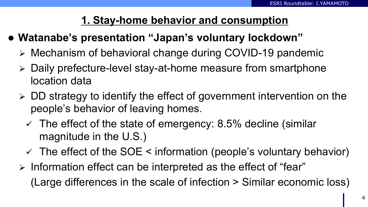### **1. Stay-home behavior and consumption**

- **Watanabe's presentation "Japan's voluntary lockdown"**
	- Mechanism of behavioral change during COVID-19 pandemic
	- Daily prefecture-level stay-at-home measure from smartphone location data
	- $\triangleright$  DD strategy to identify the effect of government intervention on the people's behavior of leaving homes.
		- $\checkmark$  The effect of the state of emergency: 8.5% decline (similar magnitude in the U.S.)
		- $\checkmark$  The effect of the SOE  $\leq$  information (people's voluntary behavior)
	- $\triangleright$  Information effect can be interpreted as the effect of "fear" (Large differences in the scale of infection > Similar economic loss)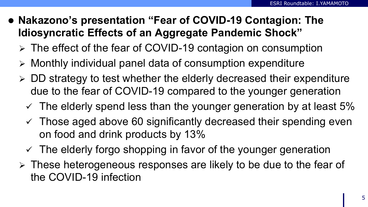- **Nakazono's presentation "Fear of COVID-19 Contagion: The Idiosyncratic Effects of an Aggregate Pandemic Shock"**
	- The effect of the fear of COVID-19 contagion on consumption
	- $\triangleright$  Monthly individual panel data of consumption expenditure
	- $\triangleright$  DD strategy to test whether the elderly decreased their expenditure due to the fear of COVID-19 compared to the younger generation
		- $\checkmark$  The elderly spend less than the younger generation by at least 5%
		- $\checkmark$  Those aged above 60 significantly decreased their spending even on food and drink products by 13%
		- $\checkmark$  The elderly forgo shopping in favor of the younger generation
	- $\triangleright$  These heterogeneous responses are likely to be due to the fear of the COVID-19 infection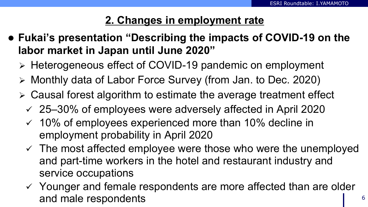### **2. Changes in employment rate**

- **Fukai's presentation "Describing the impacts of COVID-19 on the labor market in Japan until June 2020"**
	- > Heterogeneous effect of COVID-19 pandemic on employment
	- Monthly data of Labor Force Survey (from Jan. to Dec. 2020)
	- Causal forest algorithm to estimate the average treatment effect
		- 25–30% of employees were adversely affected in April 2020
		- $\checkmark$  10% of employees experienced more than 10% decline in employment probability in April 2020
		- $\checkmark$  The most affected employee were those who were the unemployed and part-time workers in the hotel and restaurant industry and service occupations
		- $\checkmark$  Younger and female respondents are more affected than are older and male respondents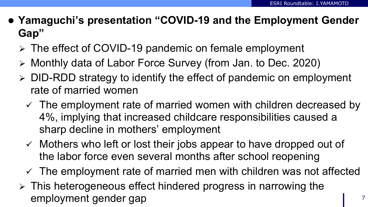- **Yamaguchi's presentation "COVID-19 and the Employment Gender Gap"**
	- The effect of COVID-19 pandemic on female employment
	- Monthly data of Labor Force Survey (from Jan. to Dec. 2020)
	- $\triangleright$  DID-RDD strategy to identify the effect of pandemic on employment rate of married women
		- $\checkmark$  The employment rate of married women with children decreased by 4%, implying that increased childcare responsibilities caused a sharp decline in mothers' employment
		- $\checkmark$  Mothers who left or lost their jobs appear to have dropped out of the labor force even several months after school reopening
		- $\checkmark$  The employment rate of married men with children was not affected
	- $\triangleright$  This heterogeneous effect hindered progress in narrowing the employment gender gap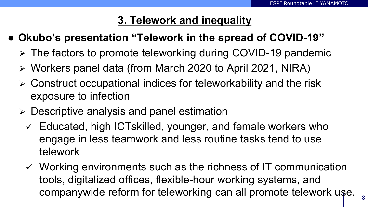#### **3. Telework and inequality**

- **Okubo's presentation "Telework in the spread of COVID-19"**
	- $\triangleright$  The factors to promote teleworking during COVID-19 pandemic
	- Workers panel data (from March 2020 to April 2021, NIRA)
	- $\triangleright$  Construct occupational indices for teleworkability and the risk exposure to infection
	- Descriptive analysis and panel estimation
		- $\checkmark$  Educated, high ICTskilled, younger, and female workers who engage in less teamwork and less routine tasks tend to use telework
		- $\checkmark$  Working environments such as the richness of IT communication tools, digitalized offices, flexible-hour working systems, and companywide reform for teleworking can all promote telework use.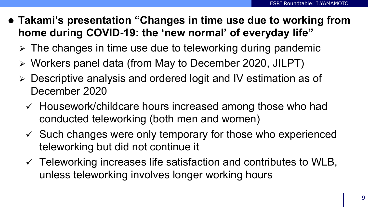- **Takami's presentation "Changes in time use due to working from home during COVID-19: the 'new normal' of everyday life"**
	- $\triangleright$  The changes in time use due to teleworking during pandemic
	- Workers panel data (from May to December 2020, JILPT)
	- Descriptive analysis and ordered logit and IV estimation as of December 2020
		- $\checkmark$  Housework/childcare hours increased among those who had conducted teleworking (both men and women)
		- $\checkmark$  Such changes were only temporary for those who experienced teleworking but did not continue it
		- $\checkmark$  Teleworking increases life satisfaction and contributes to WLB, unless teleworking involves longer working hours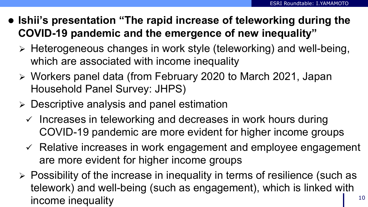- **Ishii's presentation "The rapid increase of teleworking during the COVID-19 pandemic and the emergence of new inequality"**
	- Heterogeneous changes in work style (teleworking) and well-being, which are associated with income inequality
	- Workers panel data (from February 2020 to March 2021, Japan Household Panel Survey: JHPS)
	- Descriptive analysis and panel estimation
		- $\checkmark$  Increases in teleworking and decreases in work hours during COVID-19 pandemic are more evident for higher income groups
		- $\checkmark$  Relative increases in work engagement and employee engagement are more evident for higher income groups
	- $\triangleright$  Possibility of the increase in inequality in terms of resilience (such as telework) and well-being (such as engagement), which is linked with income inequality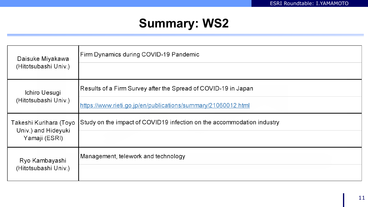### **Summary: WS2**

| Daisuke Miyakawa                              | Firm Dynamics during COVID-19 Pandemic                                 |
|-----------------------------------------------|------------------------------------------------------------------------|
| (Hitotsubashi Univ.)                          |                                                                        |
| Ichiro Uesugi                                 | Results of a Firm Survey after the Spread of COVID-19 in Japan         |
| (Hitotsubashi Univ.)                          | https://www.rieti.go.jp/en/publications/summary/21060012.html          |
| Takeshi Kurihara (Toyo<br>Univ.) and Hideyuki | Study on the impact of COVID19 infection on the accommodation industry |
| Yamaji (ESRI)                                 |                                                                        |
| Ryo Kambayashi                                | Management, telework and technology                                    |
| (Hitotsubashi Univ.)                          |                                                                        |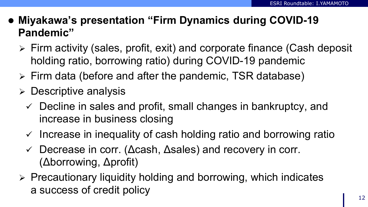- **Miyakawa's presentation "Firm Dynamics during COVID-19 Pandemic"**
	- Firm activity (sales, profit, exit) and corporate finance (Cash deposit holding ratio, borrowing ratio) during COVID-19 pandemic
	- $\triangleright$  Firm data (before and after the pandemic, TSR database)
	- $\triangleright$  Descriptive analysis
		- $\checkmark$  Decline in sales and profit, small changes in bankruptcy, and increase in business closing
		- $\checkmark$  Increase in inequality of cash holding ratio and borrowing ratio
		- Decrease in corr. (Δcash, Δsales) and recovery in corr. (Δborrowing, Δprofit)
	- $\triangleright$  Precautionary liquidity holding and borrowing, which indicates a success of credit policy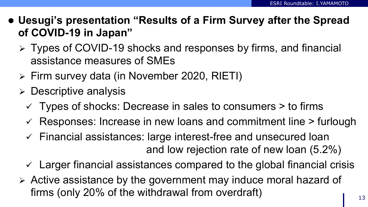- **Uesugi's presentation "Results of a Firm Survey after the Spread of COVID-19 in Japan"**
	- Types of COVID-19 shocks and responses by firms, and financial assistance measures of SMEs
	- Firm survey data (in November 2020, RIETI)
	- $\triangleright$  Descriptive analysis
		- $\checkmark$  Types of shocks: Decrease in sales to consumers  $>$  to firms
		- $\checkmark$  Responses: Increase in new loans and commitment line  $\checkmark$  furlough
		- $\checkmark$  Financial assistances: large interest-free and unsecured loan and low rejection rate of new loan (5.2%)
		- $\checkmark$  Larger financial assistances compared to the global financial crisis
	- Active assistance by the government may induce moral hazard of firms (only 20% of the withdrawal from overdraft)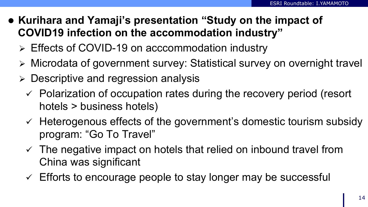- **Kurihara and Yamaji's presentation "Study on the impact of COVID19 infection on the accommodation industry"**
	- Effects of COVID-19 on acccommodation industry
	- Microdata of government survey: Statistical survey on overnight travel
	- $\triangleright$  Descriptive and regression analysis
		- $\checkmark$  Polarization of occupation rates during the recovery period (resort hotels > business hotels)
		- $\checkmark$  Heterogenous effects of the government's domestic tourism subsidy program: "Go To Travel"
		- $\checkmark$  The negative impact on hotels that relied on inbound travel from China was significant
		- $\checkmark$  Efforts to encourage people to stay longer may be successful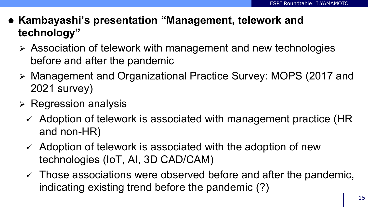- **Kambayashi's presentation "Management, telework and technology"**
	- Association of telework with management and new technologies before and after the pandemic
	- Management and Organizational Practice Survey: MOPS (2017 and 2021 survey)
	- $\triangleright$  Regression analysis
		- $\checkmark$  Adoption of telework is associated with management practice (HR and non-HR)
		- $\checkmark$  Adoption of telework is associated with the adoption of new technologies (IoT, AI, 3D CAD/CAM)
		- $\checkmark$  Those associations were observed before and after the pandemic, indicating existing trend before the pandemic (?)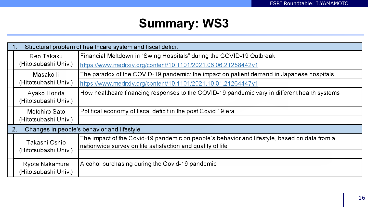### **Summary: WS3**

| Structural problem of healthcare system and fiscal deficit |                                                                                              |  |  |  |
|------------------------------------------------------------|----------------------------------------------------------------------------------------------|--|--|--|
| Reo Takaku<br>(Hitotsubashi Univ.)                         | Financial Meltdown in "Swing Hospitals" during the COVID-19 Outbreak                         |  |  |  |
|                                                            | https://www.medrxiv.org/content/10.1101/2021.06.06.21258442v1                                |  |  |  |
| Masako li<br>(Hitotsubashi Univ.)                          | The paradox of the COVID-19 pandemic: the impact on patient demand in Japanese hospitals     |  |  |  |
|                                                            | https://www.medrxiv.org/content/10.1101/2021.10.01.21264447v1                                |  |  |  |
| Ayako Honda                                                | How healthcare financing responses to the COVID-19 pandemic vary in different health systems |  |  |  |
| (Hitotsubashi Univ.)                                       |                                                                                              |  |  |  |
| Motohiro Sato                                              | Political economy of fiscal deficit in the post Covid 19 era                                 |  |  |  |
| (Hitotsubashi Univ.)                                       |                                                                                              |  |  |  |
| Changes in people's behavior and lifestyle<br>$2_{\cdot}$  |                                                                                              |  |  |  |
| Takashi Oshio                                              | The impact of the Covid-19 pandemic on people's behavior and lifestyle, based on data from a |  |  |  |
| (Hitotsubashi Univ.)                                       | nationwide survey on life satisfaction and quality of life                                   |  |  |  |
|                                                            |                                                                                              |  |  |  |
| Ryota Nakamura                                             | Alcohol purchasing during the Covid-19 pandemic                                              |  |  |  |
| (Hitotsubashi Univ.)                                       |                                                                                              |  |  |  |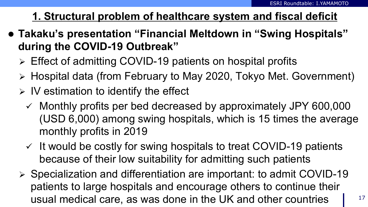### **1. Structural problem of healthcare system and fiscal deficit**

- **Takaku's presentation "Financial Meltdown in "Swing Hospitals" during the COVID-19 Outbreak"**
	- Effect of admitting COVID-19 patients on hospital profits
	- Hospital data (from February to May 2020, Tokyo Met. Government)
	- $\triangleright$  IV estimation to identify the effect
		- $\checkmark$  Monthly profits per bed decreased by approximately JPY 600,000 (USD 6,000) among swing hospitals, which is 15 times the average monthly profits in 2019
		- $\checkmark$  It would be costly for swing hospitals to treat COVID-19 patients because of their low suitability for admitting such patients
	- $\triangleright$  Specialization and differentiation are important: to admit COVID-19 patients to large hospitals and encourage others to continue their usual medical care, as was done in the UK and other countries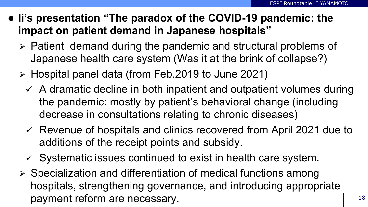- **Ii's presentation "The paradox of the COVID-19 pandemic: the impact on patient demand in Japanese hospitals"**
	- $\triangleright$  Patient demand during the pandemic and structural problems of Japanese health care system (Was it at the brink of collapse?)
	- $\triangleright$  Hospital panel data (from Feb.2019 to June 2021)
		- $\checkmark$  A dramatic decline in both inpatient and outpatient volumes during the pandemic: mostly by patient's behavioral change (including decrease in consultations relating to chronic diseases)
		- $\checkmark$  Revenue of hospitals and clinics recovered from April 2021 due to additions of the receipt points and subsidy.
		- $\checkmark$  Systematic issues continued to exist in health care system.
	- $\triangleright$  Specialization and differentiation of medical functions among hospitals, strengthening governance, and introducing appropriate payment reform are necessary.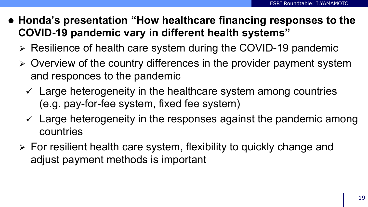- **Honda's presentation "How healthcare financing responses to the COVID-19 pandemic vary in different health systems"**
	- $\triangleright$  Resilience of health care system during the COVID-19 pandemic
	- $\triangleright$  Overview of the country differences in the provider payment system and responces to the pandemic
		- $\checkmark$  Large heterogeneity in the healthcare system among countries (e.g. pay-for-fee system, fixed fee system)
		- $\checkmark$  Large heterogeneity in the responses against the pandemic among countries
	- $\triangleright$  For resilient health care system, flexibility to quickly change and adjust payment methods is important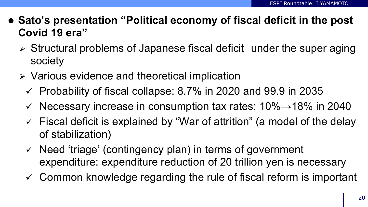- **Sato's presentation "Political economy of fiscal deficit in the post Covid 19 era"**
	- $\triangleright$  Structural problems of Japanese fiscal deficit under the super aging society
	- $\triangleright$  Various evidence and theoretical implication
		- $\checkmark$  Probability of fiscal collapse: 8.7% in 2020 and 99.9 in 2035
		- $\checkmark$  Necessary increase in consumption tax rates: 10% $\rightarrow$ 18% in 2040
		- $\checkmark$  Fiscal deficit is explained by "War of attrition" (a model of the delay of stabilization)
		- $\checkmark$  Need 'triage' (contingency plan) in terms of government expenditure: expenditure reduction of 20 trillion yen is necessary
		- $\checkmark$  Common knowledge regarding the rule of fiscal reform is important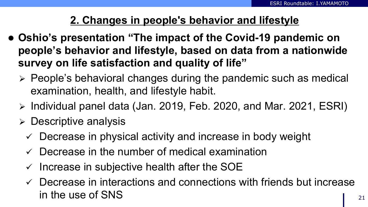### **2. Changes in people's behavior and lifestyle**

- **Oshio's presentation "The impact of the Covid-19 pandemic on people's behavior and lifestyle, based on data from a nationwide survey on life satisfaction and quality of life"**
	- $\triangleright$  People's behavioral changes during the pandemic such as medical examination, health, and lifestyle habit.
	- $\triangleright$  Individual panel data (Jan. 2019, Feb. 2020, and Mar. 2021, ESRI)
	- Descriptive analysis
		- $\checkmark$  Decrease in physical activity and increase in body weight
		- $\checkmark$  Decrease in the number of medical examination
		- $\checkmark$  Increase in subjective health after the SOE
		- $\checkmark$  Decrease in interactions and connections with friends but increase in the use of SNS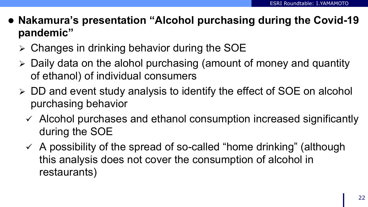- **Nakamura's presentation "Alcohol purchasing during the Covid-19 pandemic"**
	- Changes in drinking behavior during the SOE
	- $\triangleright$  Daily data on the alohol purchasing (amount of money and quantity of ethanol) of individual consumers
	- DD and event study analysis to identify the effect of SOE on alcohol purchasing behavior
		- $\checkmark$  Alcohol purchases and ethanol consumption increased significantly during the SOE
		- $\checkmark$  A possibility of the spread of so-called "home drinking" (although this analysis does not cover the consumption of alcohol in restaurants)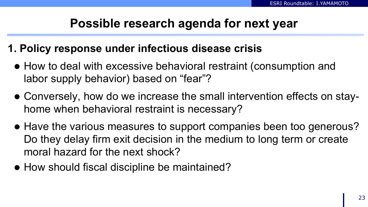### **Possible research agenda for next year**

#### **1. Policy response under infectious disease crisis**

- How to deal with excessive behavioral restraint (consumption and labor supply behavior) based on "fear"?
- Conversely, how do we increase the small intervention effects on stayhome when behavioral restraint is necessary?
- Have the various measures to support companies been too generous? Do they delay firm exit decision in the medium to long term or create moral hazard for the next shock?
- How should fiscal discipline be maintained?